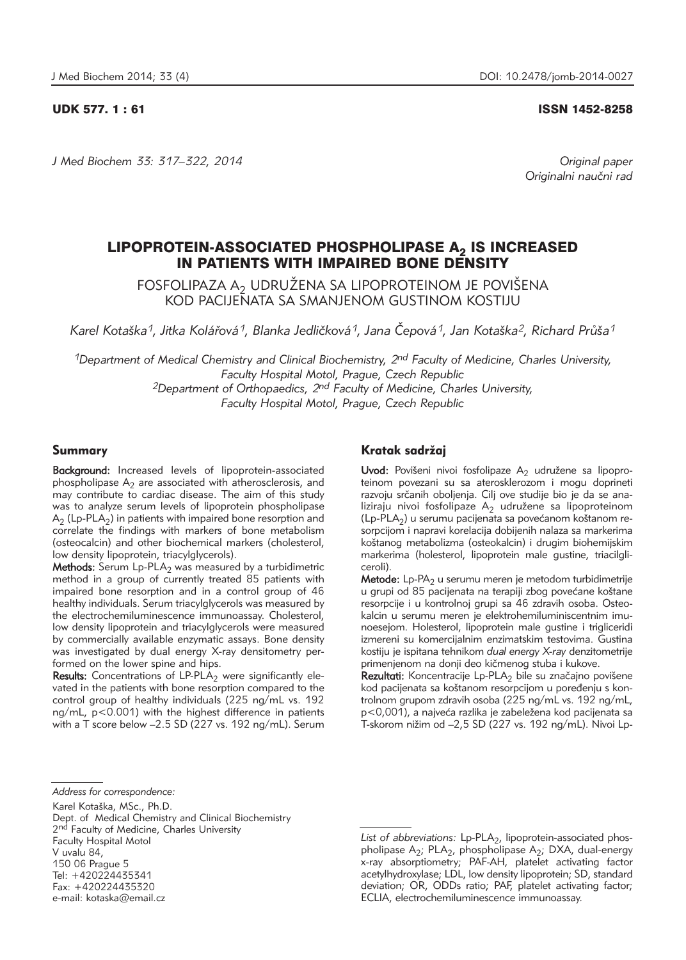# UDK 577. 1 : 61 ISSN 1452-8258

*J Med Biochem 33: 317–322, 2014 Original paper*

Originalni naučni rad

# LIPOPROTEIN-ASSOCIATED PHOSPHOLIPASE A<sub>2</sub> IS INCREASED IN PATIENTS WITH IMPAIRED BONE DENSITY

FOSFOLIPAZA A $_2$  UDRUZENA SA LIPOPROTEINOM JE POVIŠENA KOD PACIJENATA SA SMANJENOM GUSTINOM KOSTIJU

Karel Kotaška<sup>1</sup>, Jitka Kolářová<sup>1</sup>, Blanka Jedličková<sup>1</sup>, Jana Čepová<sup>1</sup>, Jan Kotaška<sup>2</sup>, Richard Průša<sup>1</sup>

*1Department of Medical Chemistry and Clinical Biochemistry, 2nd Faculty of Medicine, Charles University, Faculty Hospital Motol, Prague, Czech Republic 2Department of Orthopaedics, 2nd Faculty of Medicine, Charles University, Faculty Hospital Motol, Prague, Czech Republic* 

# Summary

Background: Increased levels of lipoprotein-associated phospholipase  $A_2$  are associated with atherosclerosis, and may contribute to cardiac disease. The aim of this study was to analyze serum levels of lipoprotein phospholipase  $A_2$  (Lp-PLA<sub>2</sub>) in patients with impaired bone resorption and correlate the findings with markers of bone metabolism (osteocalcin) and other biochemical markers (cholesterol, low density lipoprotein, triacylglycerols).

Methods: Serum Lp-PLA<sub>2</sub> was measured by a turbidimetric method in a group of currently treated 85 patients with impaired bone resorption and in a control group of 46 healthy individuals. Serum triacylglycerols was measured by the electrochemiluminescence immunoassay. Cholesterol, low density lipoprotein and triacylglycerols were measured by commercially available enzymatic assays. Bone density was investigated by dual energy X-ray densitometry performed on the lower spine and hips.

**Results:** Concentrations of LP-PLA<sub>2</sub> were significantly elevated in the patients with bone resorption compared to the control group of healthy individuals (225 ng/mL vs. 192 ng/mL, p<0.001) with the highest difference in patients with a T score below -2.5 SD (227 vs. 192 ng/mL). Serum

# Kratak sadržai

Uvod: Povišeni nivoi fosfolipaze A<sub>2</sub> udružene sa lipoproteinom povezani su sa aterosklerozom i mogu doprineti razvoju srčanih oboljenja. Cilj ove studije bio je da se analiziraju nivoi fosfolipaze  $A_2$  udružene sa lipoproteinom  $(Lp-PLA<sub>2</sub>)$  u serumu pacijenata sa povećanom koštanom resorpcijom i napravi korelacija dobijenih nalaza sa markerima koštanog metabolizma (osteokalcin) i drugim biohemijskim markerima (holesterol, lipoprotein male qustine, triacilgliceroli).

Metode: Lp-PA<sub>2</sub> u serumu meren je metodom turbidimetrije u grupi od 85 pacijenata na terapiji zbog povećane koštane resorpcije i u kontrolnoj grupi sa 46 zdravih osoba. Osteokalcin u serumu meren je elektrohemiluminiscentnim imunoesejom. Holesterol, lipoprotein male gustine i trigliceridi izmereni su komercijalnim enzimatskim testovima. Gustina kostiju je ispitana tehnikom *dual energy X-ray* denzitometrije primenjenom na donji deo kičmenog stuba i kukove.

Rezultati: Koncentracije Lp-PLA<sub>2</sub> bile su značajno povišene kod pacijenata sa koštanom resorpcijom u poređenju s kontrolnom grupom zdravih osoba (225 ng/mL vs. 192 ng/mL, p<0,001), a najveća razlika je zabeležena kod pacijenata sa T-skorom nižim od -2,5 SD (227 vs. 192 ng/mL). Nivoi Lp-

Karel Kotaška, MSc., Ph.D. Dept. of Medical Chemistry and Clinical Biochemistry 2<sup>nd</sup> Faculty of Medicine, Charles University Faculty Hospital Motol V uvalu 84, 150 06 Prague 5 Tel: +420224435341 Fax: +420224435320

*Address for correspondence:* 

e-mail: kotaska@email.cz

List of abbreviations: Lp-PLA<sub>2</sub>, lipoprotein-associated phospholipase A<sub>2</sub>; PLA<sub>2</sub>, phospholipase A<sub>2</sub>; DXA, dual-energy x-ray absorptiometry; PAF-AH, platelet activating factor acetylhydroxylase; LDL, low density lipoprotein; SD, standard deviation; OR, ODDs ratio; PAF, platelet activating factor; ECLIA, electrochemiluminescence immunoassay.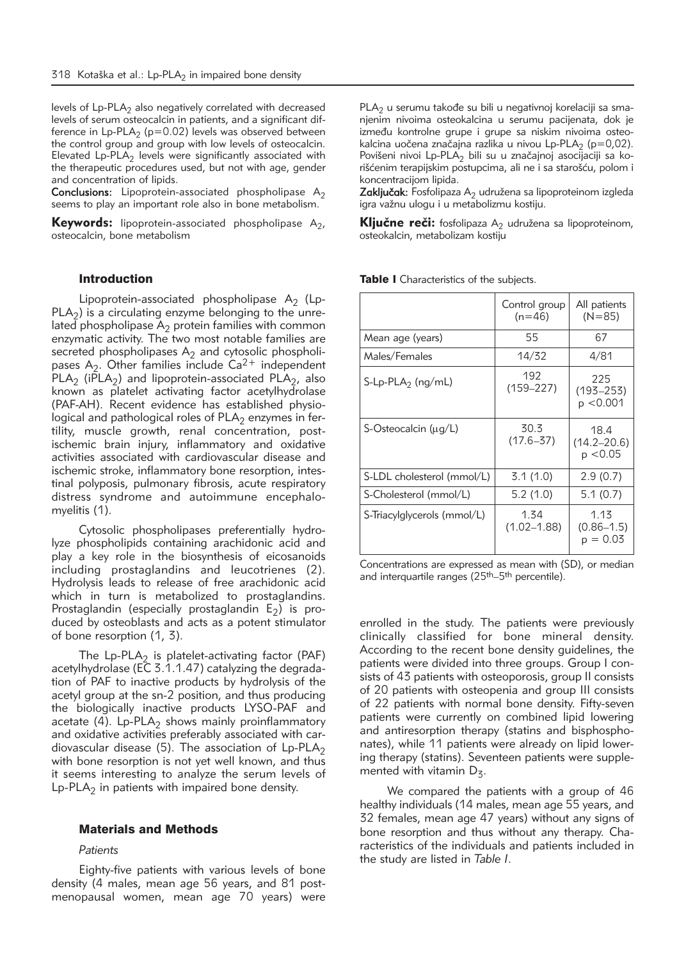levels of  $L_p-PLA_2$  also negatively correlated with decreased levels of serum osteocalcin in patients, and a significant difference in Lp-PLA<sub>2</sub> (p=0.02) levels was observed between the control group and group with low levels of osteocalcin. Elevated Lp-PLA<sub>2</sub> levels were significantly associated with the therapeutic procedures used, but not with age, gender and concentration of lipids.

**Conclusions:** Lipoprotein-associated phospholipase  $A_2$ seems to play an important role also in bone metabolism.

**Keywords:** lipoprotein-associated phospholipase  $A_2$ , osteocalcin, bone metabolism

#### Introduction

Lipoprotein-associated phospholipase  $A_2$  (Lp- $PLA<sub>2</sub>$ ) is a circulating enzyme belonging to the unrelated phospholipase  $A_2$  protein families with common enzymatic activity. The two most notable families are secreted phospholipases  $A_2$  and cytosolic phospholipases  $A_2$ . Other families include  $Ca^{2+}$  independent PLA<sub>2</sub> (iPLA<sub>2</sub>) and lipoprotein-associated PLA<sub>2</sub>, also known as platelet activating factor acetylhydrolase (PAF-AH). Recent evidence has established physiological and pathological roles of  $PLA<sub>2</sub>$  enzymes in fertility, muscle growth, renal concentration, postischemic brain injury, inflammatory and oxidative activities associated with cardiovascular disease and ischemic stroke, inflammatory bone resorption, intestinal polyposis, pulmonary fibrosis, acute respiratory distress syndrome and autoimmune encephalomyelitis (1).

Cytosolic phospholipases preferentially hydrolyze phospholipids containing arachidonic acid and play a key role in the biosynthesis of eicosanoids including prostaglandins and leucotrienes (2). Hydrolysis leads to release of free arachidonic acid which in turn is metabolized to prostaglandins. Prostaglandin (especially prostaglandin  $E_2$ ) is produced by osteoblasts and acts as a potent stimulator of bone resorption (1, 3).

The  $L_p-PLA_2$  is platelet-activating factor (PAF) acetylhydrolase (EC 3.1.1.47) catalyzing the degradation of PAF to inactive products by hydrolysis of the acetyl group at the sn-2 position, and thus producing the biologically inactive products LYSO-PAF and acetate (4). Lp-PLA<sub>2</sub> shows mainly proinflammatory and oxidative activities preferably associated with cardiovascular disease (5). The association of  $L_p$ -PLA<sub>2</sub> with bone resorption is not yet well known, and thus it seems interesting to analyze the serum levels of Lp-PLA $_2$  in patients with impaired bone density.

# Materials and Methods

#### *Patients*

Eighty-five patients with various levels of bone density (4 males, mean age 56 years, and 81 postmenopausal women, mean age 70 years) were PLA<sub>2</sub> u serumu takođe su bili u negativnoj korelaciji sa smanjenim nivoima osteokalcina u serumu pacijenata, dok je između kontrolne grupe i grupe sa niskim nivoima osteokalcina uočena značajna razlika u nivou Lp-PLA<sub>2</sub> (p=0,02). Povišeni nivoi Lp-PLA<sub>2</sub> bili su u značajnoj asocijaciji sa korišćenim terapijskim postupcima, ali ne i sa starošću, polom i koncentracijom lipida.

Zaključak: Fosfolipaza A<sub>2</sub> udružena sa lipoproteinom izgleda igra važnu ulogu i u metabolizmu kostiju.

**Ključne reči:** fosfolipaza A<sub>2</sub> udružena sa lipoproteinom, osteokalcin, metabolizam kostiju

|                             | Control group<br>$(n=46)$ | All patients<br>$(N=85)$             |  |
|-----------------------------|---------------------------|--------------------------------------|--|
| Mean age (years)            | 55                        | 67                                   |  |
| Males/Females               | 14/32                     | 4/81                                 |  |
| $S-Lp-PLA2$ (ng/mL)         | 192<br>$(159 - 227)$      | 225<br>$(193 - 253)$<br>p < 0.001    |  |
| S-Osteocalcin (µg/L)        | 30.3<br>$(17.6 - 37)$     | 18.4<br>$(14.2 - 20.6)$<br>р <0.05   |  |
| S-LDL cholesterol (mmol/L)  | 3.1(1.0)                  | 2.9(0.7)                             |  |
| S-Cholesterol (mmol/L)      | 5.2(1.0)                  | 5.1(0.7)                             |  |
| S-Triacylglycerols (mmol/L) | 1.34<br>$(1.02 - 1.88)$   | 1.13<br>$(0.86 - 1.5)$<br>$p = 0.03$ |  |

Table I Characteristics of the subjects.

Concentrations are expressed as mean with (SD), or median and interquartile ranges (25th–5th percentile).

enrolled in the study. The patients were previously clinically classified for bone mineral density. According to the recent bone density guidelines, the patients were divided into three groups. Group I consists of 43 patients with osteoporosis, group II consists of 20 patients with osteopenia and group III consists of 22 patients with normal bone density. Fifty-seven patients were currently on combined lipid lowering and antiresorption therapy (statins and bisphosphonates), while 11 patients were already on lipid lowering therapy (statins). Seventeen patients were supplemented with vitamin  $D_z$ .

We compared the patients with a group of 46 healthy individuals (14 males, mean age 55 years, and 32 females, mean age 47 years) without any signs of bone resorption and thus without any therapy. Characteristics of the individuals and patients included in the study are listed in *Table I*.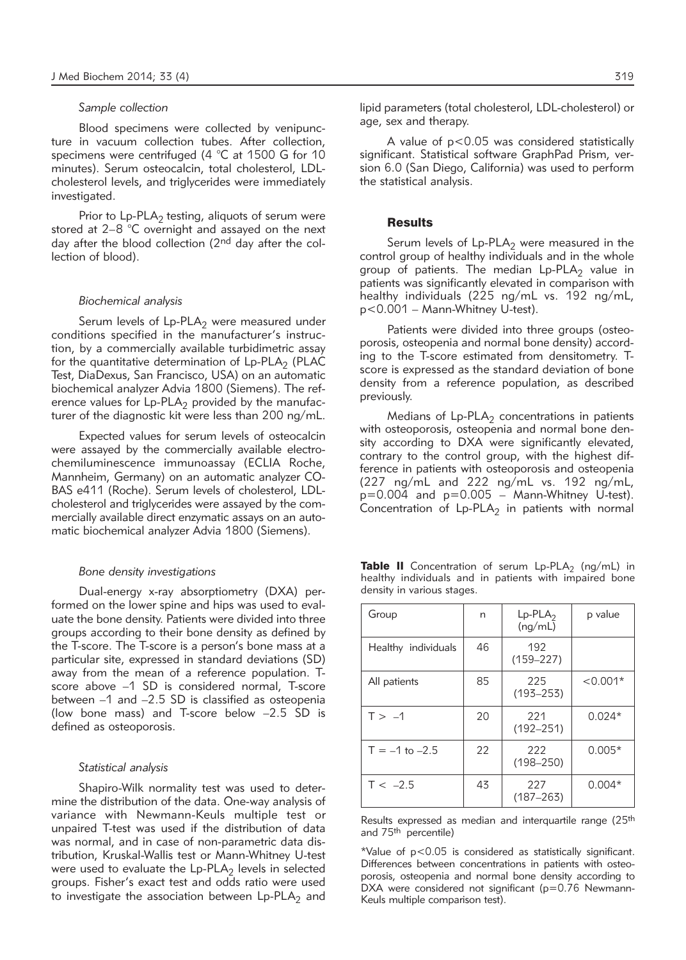#### *Sample collection*

Blood specimens were collected by venipuncture in vacuum collection tubes. After collection, specimens were centrifuged (4 °C at 1500 G for 10 minutes). Serum osteocalcin, total cholesterol, LDLcholesterol levels, and triglycerides were immediately investigated.

Prior to  $L_p$ -PLA<sub>2</sub> testing, aliquots of serum were stored at 2–8 °C overnight and assayed on the next day after the blood collection (2<sup>nd</sup> day after the collection of blood).

# *Biochemical analysis*

Serum levels of  $L_p$ -PLA<sub>2</sub> were measured under conditions specified in the manufacturer's instruction, by a commercially available turbidimetric assay for the quantitative determination of  $L_p$ -PLA<sub>2</sub> (PLAC Test, Dia Dexus, San Francisco, USA) on an automatic biochemical analyzer Advia 1800 (Siemens). The reference values for  $L_p-PLA_2$  provided by the manufacturer of the diagnostic kit were less than 200 ng/mL.

Expected values for serum levels of osteocalcin were assayed by the commercially available electrochemiluminescence immunoassay (ECLIA Roche, Mannheim, Germany) on an automatic analyzer CO-BAS e411 (Roche). Serum levels of cholesterol, LDLcholesterol and triglycerides were assayed by the commercially available direct enzymatic assays on an automatic biochemical analyzer Advia 1800 (Siemens).

#### *Bone density investigations*

Dual-energy x-ray absorptiometry (DXA) performed on the lower spine and hips was used to evaluate the bone density. Patients were divided into three groups according to their bone density as defined by the T-score. The T-score is a person's bone mass at a particular site, expressed in standard deviations (SD) away from the mean of a reference population. Tscore above –1 SD is considered normal, T-score between –1 and –2.5 SD is classified as osteopenia (low bone mass) and T-score below –2.5 SD is defined as osteoporosis.

# *Statistical analysis*

Shapiro-Wilk normality test was used to determine the distribution of the data. One-way analysis of variance with Newmann-Keuls multiple test or unpaired T-test was used if the distribution of data was normal, and in case of non-parametric data distribution, Kruskal-Wallis test or Mann-Whitney U-test were used to evaluate the  $L_p$ -PLA<sub>2</sub> levels in selected groups. Fisher's exact test and odds ratio were used to investigate the association between  $L_p$ -PLA<sub>2</sub> and lipid parameters (total cholesterol, LDL-cholesterol) or age, sex and therapy.

A value of p<0.05 was considered statistically significant. Statistical software GraphPad Prism, version 6.0 (San Diego, California) was used to perform the statistical analysis.

#### **Results**

Serum levels of  $L_p$ -PLA<sub>2</sub> were measured in the control group of healthy individuals and in the whole group of patients. The median  $L_p$ -PLA<sub>2</sub> value in patients was significantly elevated in comparison with healthy individuals (225 ng/mL vs. 192 ng/mL, p<0.001 – Mann-Whitney U-test).

Patients were divided into three groups (osteoporosis, osteopenia and normal bone density) according to the T-score estimated from densitometry. Tscore is expressed as the standard deviation of bone density from a reference population, as described previously.

Medians of  $L_p-PLA_2$  concentrations in patients with osteoporosis, osteopenia and normal bone density according to DXA were significantly elevated, contrary to the control group, with the highest difference in patients with osteoporosis and osteopenia (227 ng/mL and 222 ng/mL vs. 192 ng/mL,  $p=0.004$  and  $p=0.005$  – Mann-Whitney U-test). Concentration of  $L_p$ -PLA<sub>2</sub> in patients with normal

|  | <b>Table II</b> Concentration of serum $L_p-PLA_2$ (ng/mL) in |  |  |  |  |
|--|---------------------------------------------------------------|--|--|--|--|
|  | healthy individuals and in patients with impaired bone        |  |  |  |  |
|  | density in various stages.                                    |  |  |  |  |

| Group               | n  | $Lp$ -PLA <sub>2</sub><br>(nq/mL) | p value    |
|---------------------|----|-----------------------------------|------------|
| Healthy individuals | 46 | 192<br>$(159 - 227)$              |            |
| All patients        | 85 | 225<br>$(193 - 253)$              | $< 0.001*$ |
| $T > -1$            | 20 | 221<br>$(192 - 251)$              | $0.024*$   |
| $T = -1$ to $-2.5$  | 22 | 222<br>$(198 - 250)$              | $0.005*$   |
| $T < -2.5$          | 43 | 227<br>$(187 - 263)$              | $0.004*$   |

Results expressed as median and interquartile range (25<sup>th</sup> and 75<sup>th</sup> percentile)

\*Value of p<0.05 is considered as statistically significant. Differences between concentrations in patients with osteoporosis, osteopenia and normal bone density according to DXA were considered not significant (p=0.76 Newmann-Keuls multiple comparison test).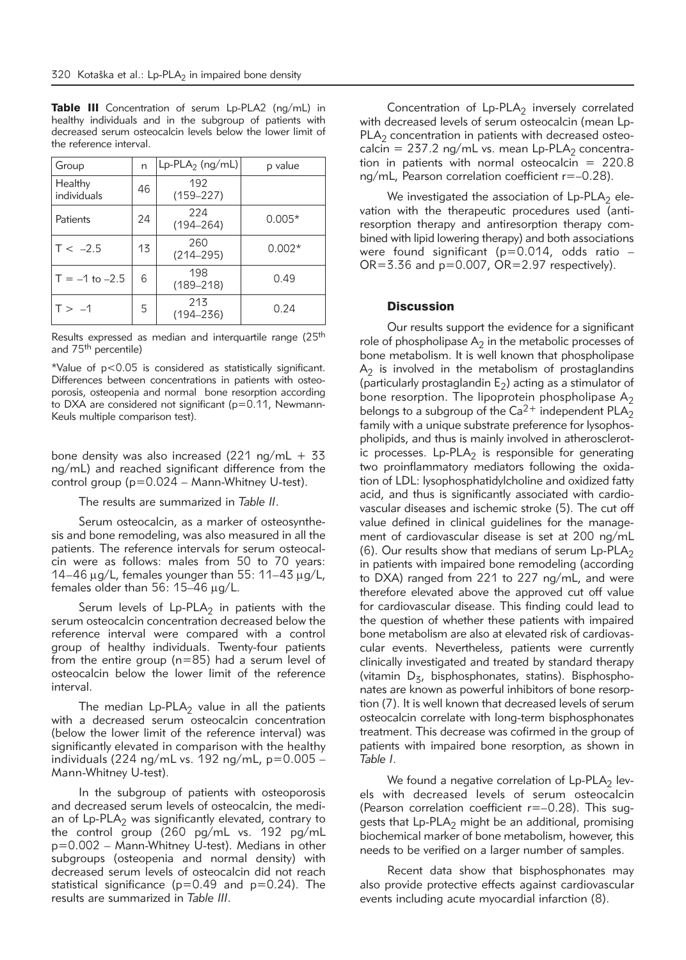| Group                  | n  | $Lp$ -PLA <sub>2</sub> (ng/mL) | p value  |
|------------------------|----|--------------------------------|----------|
| Healthy<br>individuals | 46 | 192<br>$(159 - 227)$           |          |
| Patients               | 24 | 224<br>$(194 - 264)$           | $0.005*$ |
| $T < -2.5$             | 13 | 260<br>$(214 - 295)$           | $0.002*$ |
| $T = -1$ to $-2.5$     | 6  | 198<br>$(189 - 218)$           | 0.49     |
| $T > -1$               | 5  | 213<br>$(194 - 236)$           | 0.24     |

Table III Concentration of serum Lp-PLA2 (ng/mL) in healthy individuals and in the subgroup of patients with decreased serum osteocalcin levels below the lower limit of the reference interval.

Results expressed as median and interquartile range (25<sup>th</sup> and 75th percentile)

\*Value of p<0.05 is considered as statistically significant. Differences between concentrations in patients with osteoporosis, osteopenia and normal bone resorption according to DXA are considered not significant (p=0.11, Newmann-Keuls multiple comparison test).

bone density was also increased (221 ng/mL + 33 ng/mL) and reached significant difference from the control group (p=0.024 – Mann-Whitney U-test).

The results are summarized in *Table II*.

Serum osteocalcin, as a marker of osteosynthesis and bone remodeling, was also measured in all the patients. The reference intervals for serum osteocalcin were as follows: males from 50 to 70 years: 14–46  $\mu$ g/L, females younger than 55: 11–43  $\mu$ g/L, females older than 56:  $15-46 \mu q/L$ .

Serum levels of  $L_p-PLA_2$  in patients with the serum osteocalcin concentration decreased below the reference interval were compared with a control group of healthy individuals. Twenty-four patients from the entire group (n=85) had a serum level of osteocalcin below the lower limit of the reference interval.

The median  $L_p-PLA_2$  value in all the patients with a decreased serum osteocalcin concentration (below the lower limit of the reference interval) was significantly elevated in comparison with the healthy individuals (224 ng/mL vs. 192 ng/mL, p=0.005 – Mann-Whitney U-test).

In the subgroup of patients with osteoporosis and decreased serum levels of osteocalcin, the median of  $L_p-PLA_2$  was significantly elevated, contrary to the control group (260 pg/mL vs. 192 pg/mL p=0.002 – Mann-Whitney U-test). Medians in other subgroups (osteopenia and normal density) with decreased serum levels of osteocalcin did not reach statistical significance ( $p=0.49$  and  $p=0.24$ ). The results are summarized in *Table III*.

Concentration of  $L_p$ -PLA<sub>2</sub> inversely correlated with decreased levels of serum osteocalcin (mean Lp- $PLA<sub>2</sub>$  concentration in patients with decreased osteocalcin = 237.2 ng/mL vs. mean Lp-PLA<sub>2</sub> concentration in patients with normal osteocalcin  $= 220.8$ ng/mL, Pearson correlation coefficient r=–0.28).

We investigated the association of  $L_p$ -PLA<sub>2</sub> elevation with the therapeutic procedures used (antiresorption therapy and antiresorption therapy combined with lipid lowering therapy) and both associations were found significant ( $p=0.014$ , odds ratio - $OR = 3.36$  and  $p = 0.007$ ,  $OR = 2.97$  respectively).

# **Discussion**

Our results support the evidence for a significant role of phospholipase  $A_2$  in the metabolic processes of bone metabolism. It is well known that phospholipase  $A<sub>2</sub>$  is involved in the metabolism of prostaglandins (particularly prostaglandin  $E_2$ ) acting as a stimulator of bone resorption. The lipoprotein phospholipase  $A_2$ belongs to a subgroup of the Ca<sup>2+</sup> independent  $PLA_2$ family with a unique substrate preference for lysophospholipids, and thus is mainly involved in atherosclerotic processes.  $L_p-PLA_2$  is responsible for generating two proinflammatory mediators following the oxidation of LDL: lysophosphatidylcholine and oxidized fatty acid, and thus is significantly associated with cardiovascular diseases and ischemic stroke (5). The cut off value defined in clinical guidelines for the management of cardiovascular disease is set at 200 ng/mL (6). Our results show that medians of serum  $L_p-PLA_2$ in patients with impaired bone remodeling (according to DXA) ranged from 221 to 227 ng/mL, and were therefore elevated above the approved cut off value for cardiovascular disease. This finding could lead to the question of whether these patients with impaired bone metabolism are also at elevated risk of cardiovascular events. Nevertheless, patients were currently clinically investigated and treated by standard therapy (vitamin  $D_{z}$ , bisphosphonates, statins). Bisphosphonates are known as powerful inhibitors of bone resorption (7). It is well known that decreased levels of serum osteocalcin correlate with long-term bisphosphonates treatment. This decrease was cofirmed in the group of patients with impaired bone resorption, as shown in *Table I*.

We found a negative correlation of  $L_p$ -PLA<sub>2</sub> levels with decreased levels of serum osteocalcin (Pearson correlation coefficient r=–0.28). This suggests that  $L_p-PLA_2$  might be an additional, promising biochemical marker of bone metabolism, however, this needs to be verified on a larger number of samples.

Recent data show that bisphosphonates may also provide protective effects against cardiovascular events including acute myocardial infarction (8).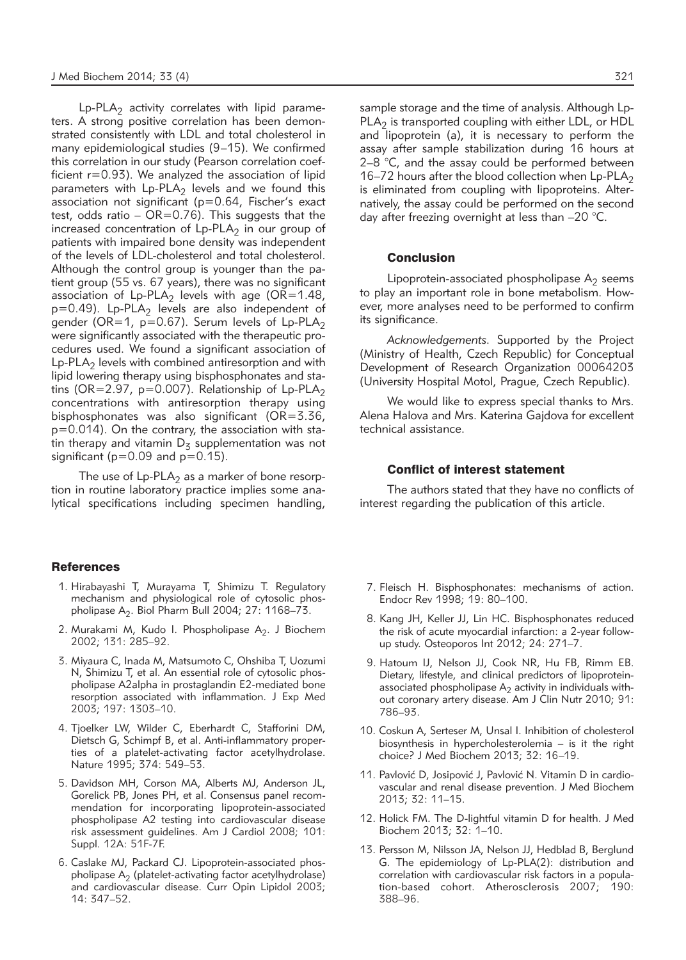$Lp$ -PLA<sub>2</sub> activity correlates with lipid parameters. A strong positive correlation has been demonstrated consistently with LDL and total cholesterol in many epidemiological studies (9–15). We confirmed this correlation in our study (Pearson correlation coefficient  $r=0.93$ ). We analyzed the association of lipid parameters with  $L_p-PLA_2$  levels and we found this association not significant (p=0.64, Fischer's exact test, odds ratio –  $OR=0.76$ ). This suggests that the increased concentration of  $L_P$ -PLA<sub>2</sub> in our group of patients with impaired bone density was independent of the levels of LDL-cholesterol and total cholesterol. Although the control group is younger than the patient group (55 vs. 67 years), there was no significant association of  $L_p-PLA_2$  levels with age (OR=1.48,  $p=0.49$ ). Lp-PLA<sub>2</sub> levels are also independent of gender (OR=1,  $p=0.67$ ). Serum levels of Lp-PLA<sub>2</sub> were significantly associated with the therapeutic procedures used. We found a significant association of  $Lp-PLA<sub>2</sub>$  levels with combined antiresorption and with lipid lowering therapy using bisphosphonates and statins ( $OR=2.97$ ,  $p=0.007$ ). Relationship of Lp-PLA<sub>2</sub> concentrations with antiresorption therapy using bisphosphonates was also significant ( $OR = 3.36$ , p=0.014). On the contrary, the association with statin therapy and vitamin  $D<sub>z</sub>$  supplementation was not significant ( $p=0.09$  and  $p=0.15$ ).

The use of  $L_p-PLA_2$  as a marker of bone resorption in routine laboratory practice implies some analytical specifications including specimen handling,

## **References**

- 1. Hirabayashi T, Murayama T, Shimizu T. Regulatory mechanism and physiological role of cytosolic phospholipase  $A_2$ . Biol Pharm Bull 2004; 27: 1168–73.
- 2. Murakami M, Kudo I. Phospholipase  $A_2$ . J Biochem 2002; 131: 285–92.
- 3. Miyaura C, Inada M, Matsumoto C, Ohshiba T, Uozumi N, Shimizu T, et al. An essential role of cytosolic phospholipase A2alpha in prostaglandin E2-mediated bone resorption associated with inflammation. J Exp Med 2003; 197: 1303–10.
- 4. Tjoelker LW, Wilder C, Eberhardt C, Stafforini DM, Dietsch G, Schimpf B, et al. Anti-inflammatory properties of a platelet-activating factor acetylhydrolase. Nature 1995; 374: 549–53.
- 5. Davidson MH, Corson MA, Alberts MJ, Anderson JL, Gorelick PB, Jones PH, et al. Consensus panel recommendation for incorporating lipoprotein-associated phospholipase A2 testing into cardiovascular disease risk assessment guidelines. Am J Cardiol 2008; 101: Suppl. 12A: 51F-7F.
- 6. Caslake MJ, Packard CJ. Lipoprotein-associated phospholipase  $A_2$  (platelet-activating factor acetylhydrolase) and cardiovascular disease. Curr Opin Lipidol 2003; 14: 347–52.

sample storage and the time of analysis. Although Lp- $PLA<sub>2</sub>$  is transported coupling with either LDL, or HDL and lipoprotein (a), it is necessary to perform the assay after sample stabilization during 16 hours at 2–8 °C, and the assay could be performed between 16–72 hours after the blood collection when  $L_p$ -PLA<sub>2</sub> is eliminated from coupling with lipoproteins. Alternatively, the assay could be performed on the second day after freezing overnight at less than –20 °C.

## **Conclusion**

Lipoprotein-associated phospholipase  $A_2$  seems to play an important role in bone metabolism. However, more analyses need to be performed to confirm its significance.

*Acknowledgements.* Supported by the Project (Ministry of Health, Czech Republic) for Conceptual Development of Research Organization 00064203 (University Hospital Motol, Prague, Czech Republic).

We would like to express special thanks to Mrs. Alena Halova and Mrs. Katerina Gajdova for excellent technical assistance.

## Conflict of interest statement

The authors stated that they have no conflicts of interest regarding the publication of this article.

- 7. Fleisch H. Bisphosphonates: mechanisms of action. Endocr Rev 1998; 19: 80–100.
- 8. Kang JH, Keller JJ, Lin HC. Bisphosphonates reduced the risk of acute myocardial infarction: a 2-year followup study. Osteoporos Int 2012; 24: 271–7.
- 9. Hatoum IJ, Nelson JJ, Cook NR, Hu FB, Rimm EB. Dietary, lifestyle, and clinical predictors of lipoproteinassociated phospholipase  $A_2$  activity in individuals without coronary artery disease. Am J Clin Nutr 2010; 91: 786–93.
- 10. Coskun A, Serteser M, Unsal I. Inhibition of cholesterol biosynthesis in hypercholesterolemia – is it the right choice? J Med Biochem 2013; 32: 16–19.
- 11. Pavlović D, Josipović J, Pavlović N. Vitamin D in cardiovascular and renal disease prevention. J Med Biochem 2013; 32: 11–15.
- 12. Holick FM. The D-lightful vitamin D for health. J Med Biochem 2013; 32: 1–10.
- 13. Persson M, Nilsson JA, Nelson JJ, Hedblad B, Berglund G. The epidemiology of Lp-PLA(2): distribution and correlation with cardiovascular risk factors in a population-based cohort. Atherosclerosis 2007; 190: 388–96.